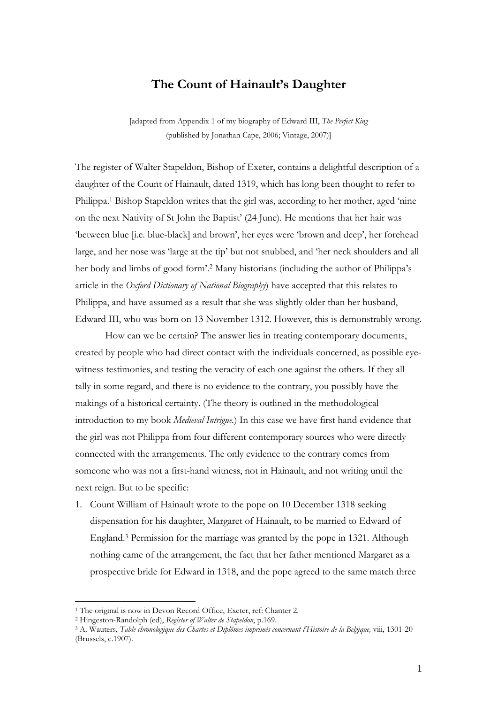## **The Count of Hainault's Daughter**

[adapted from Appendix 1 of my biography of Edward III, *The Perfect King* (published by Jonathan Cape, 2006; Vintage, 2007)]

The register of Walter Stapeldon, Bishop of Exeter, contains a delightful description of a daughter of the Count of Hainault, dated 1319, which has long been thought to refer to Philippa.<sup>1</sup> Bishop Stapeldon writes that the girl was, according to her mother, aged 'nine on the next Nativity of St John the Baptist' (24 June). He mentions that her hair was 'between blue [i.e. blue-black] and brown', her eyes were 'brown and deep', her forehead large, and her nose was 'large at the tip' but not snubbed, and 'her neck shoulders and all her body and limbs of good form'.<sup>2</sup> Many historians (including the author of Philippa's article in the *Oxford Dictionary of National Biography*) have accepted that this relates to Philippa, and have assumed as a result that she was slightly older than her husband, Edward III, who was born on 13 November 1312. However, this is demonstrably wrong.

 How can we be certain? The answer lies in treating contemporary documents, created by people who had direct contact with the individuals concerned, as possible eyewitness testimonies, and testing the veracity of each one against the others. If they all tally in some regard, and there is no evidence to the contrary, you possibly have the makings of a historical certainty. (The theory is outlined in the methodological introduction to my book *Medieval Intrigue.*) In this case we have first hand evidence that the girl was not Philippa from four different contemporary sources who were directly connected with the arrangements. The only evidence to the contrary comes from someone who was not a first-hand witness, not in Hainault, and not writing until the next reign. But to be specific:

1. Count William of Hainault wrote to the pope on 10 December 1318 seeking dispensation for his daughter, Margaret of Hainault, to be married to Edward of England.<sup>3</sup> Permission for the marriage was granted by the pope in 1321. Although nothing came of the arrangement, the fact that her father mentioned Margaret as a prospective bride for Edward in 1318, and the pope agreed to the same match three

<sup>1</sup> The original is now in Devon Record Office, Exeter, ref: Chanter 2.

<sup>2</sup> Hingeston-Randolph (ed), *Register of Walter de Stapeldon*, p.169.

<sup>3</sup> A. Wauters, *Table chronologique des Chartes et Diplômes imprimés concernant l'Histoire de la Belgique,* viii, 1301-20 (Brussels, c.1907).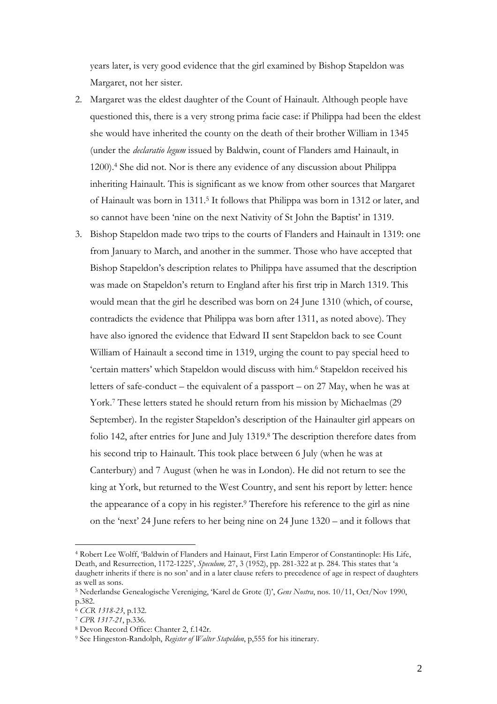years later, is very good evidence that the girl examined by Bishop Stapeldon was Margaret, not her sister.

- 2. Margaret was the eldest daughter of the Count of Hainault. Although people have questioned this, there is a very strong prima facie case: if Philippa had been the eldest she would have inherited the county on the death of their brother William in 1345 (under the *declaratio legum* issued by Baldwin, count of Flanders amd Hainault, in 1200).<sup>4</sup> She did not. Nor is there any evidence of any discussion about Philippa inheriting Hainault. This is significant as we know from other sources that Margaret of Hainault was born in 1311.<sup>5</sup> It follows that Philippa was born in 1312 or later, and so cannot have been 'nine on the next Nativity of St John the Baptist' in 1319.
- 3. Bishop Stapeldon made two trips to the courts of Flanders and Hainault in 1319: one from January to March, and another in the summer. Those who have accepted that Bishop Stapeldon's description relates to Philippa have assumed that the description was made on Stapeldon's return to England after his first trip in March 1319. This would mean that the girl he described was born on 24 June 1310 (which, of course, contradicts the evidence that Philippa was born after 1311, as noted above). They have also ignored the evidence that Edward II sent Stapeldon back to see Count William of Hainault a second time in 1319, urging the count to pay special heed to 'certain matters' which Stapeldon would discuss with him.<sup>6</sup> Stapeldon received his letters of safe-conduct – the equivalent of a passport – on 27 May, when he was at York.<sup>7</sup> These letters stated he should return from his mission by Michaelmas (29 September). In the register Stapeldon's description of the Hainaulter girl appears on folio 142, after entries for June and July 1319.<sup>8</sup> The description therefore dates from his second trip to Hainault. This took place between 6 July (when he was at Canterbury) and 7 August (when he was in London). He did not return to see the king at York, but returned to the West Country, and sent his report by letter: hence the appearance of a copy in his register.<sup>9</sup> Therefore his reference to the girl as nine on the 'next' 24 June refers to her being nine on 24 June 1320 – and it follows that

<sup>4</sup> Robert Lee Wolff, 'Baldwin of Flanders and Hainaut, First Latin Emperor of Constantinople: His Life, Death, and Resurrection, 1172-1225', *Speculum,* 27, 3 (1952), pp. 281-322 at p. 284. This states that 'a daughetr inherits if there is no son' and in a later clause refers to precedence of age in respect of daughters as well as sons.

<sup>5</sup> Nederlandse Genealogische Vereniging, 'Karel de Grote (I)', *Gens Nostra*, nos. 10/11, Oct/Nov 1990, p.382.

<sup>6</sup> *CCR 1318-23*, p.132.

<sup>7</sup> *CPR 1317-21*, p.336.

<sup>8</sup> Devon Record Office: Chanter 2, f.142r.

<sup>9</sup> See Hingeston-Randolph, *Register of Walter Stapeldon*, p,555 for his itinerary.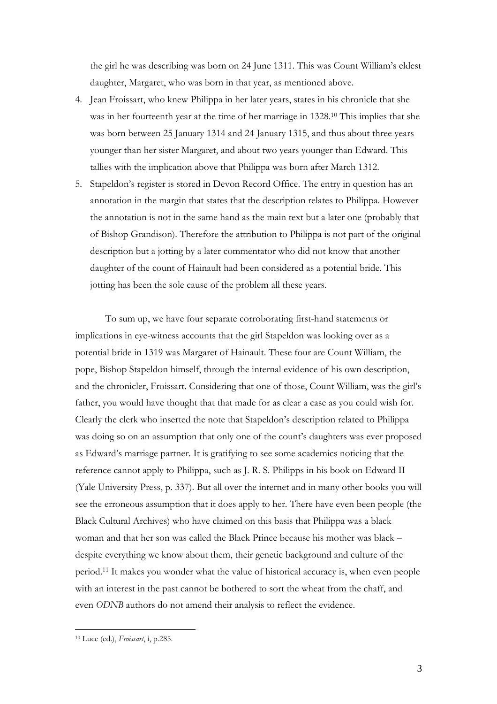the girl he was describing was born on 24 June 1311. This was Count William's eldest daughter, Margaret, who was born in that year, as mentioned above.

- 4. Jean Froissart, who knew Philippa in her later years, states in his chronicle that she was in her fourteenth year at the time of her marriage in 1328.<sup>10</sup> This implies that she was born between 25 January 1314 and 24 January 1315, and thus about three years younger than her sister Margaret, and about two years younger than Edward. This tallies with the implication above that Philippa was born after March 1312.
- 5. Stapeldon's register is stored in Devon Record Office. The entry in question has an annotation in the margin that states that the description relates to Philippa. However the annotation is not in the same hand as the main text but a later one (probably that of Bishop Grandison). Therefore the attribution to Philippa is not part of the original description but a jotting by a later commentator who did not know that another daughter of the count of Hainault had been considered as a potential bride. This jotting has been the sole cause of the problem all these years.

To sum up, we have four separate corroborating first-hand statements or implications in eye-witness accounts that the girl Stapeldon was looking over as a potential bride in 1319 was Margaret of Hainault. These four are Count William, the pope, Bishop Stapeldon himself, through the internal evidence of his own description, and the chronicler, Froissart. Considering that one of those, Count William, was the girl's father, you would have thought that that made for as clear a case as you could wish for. Clearly the clerk who inserted the note that Stapeldon's description related to Philippa was doing so on an assumption that only one of the count's daughters was ever proposed as Edward's marriage partner. It is gratifying to see some academics noticing that the reference cannot apply to Philippa, such as J. R. S. Philipps in his book on Edward II (Yale University Press, p. 337). But all over the internet and in many other books you will see the erroneous assumption that it does apply to her. There have even been people (the Black Cultural Archives) who have claimed on this basis that Philippa was a black woman and that her son was called the Black Prince because his mother was black – despite everything we know about them, their genetic background and culture of the period.<sup>11</sup> It makes you wonder what the value of historical accuracy is, when even people with an interest in the past cannot be bothered to sort the wheat from the chaff, and even *ODNB* authors do not amend their analysis to reflect the evidence.

<sup>10</sup> Luce (ed.), *Froissart*, i, p.285.